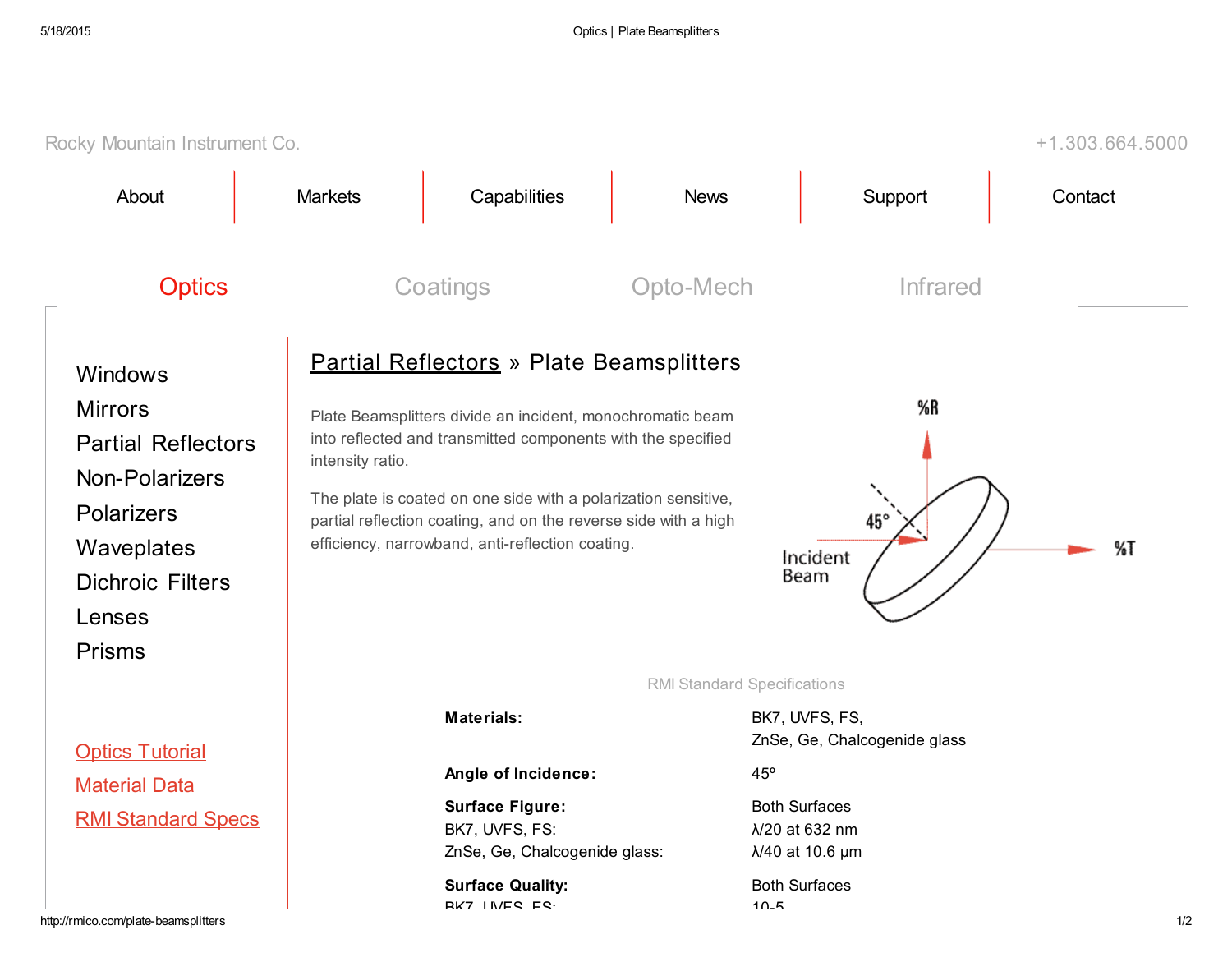| Rocky Mountain Instrument Co.<br>$+1.303.664.5000$                                                                                                                       |                  |                                                                                                                                                                                                                                                                                                                                                                                                               |                                                           |                                                                                                                                     |         |  |  |
|--------------------------------------------------------------------------------------------------------------------------------------------------------------------------|------------------|---------------------------------------------------------------------------------------------------------------------------------------------------------------------------------------------------------------------------------------------------------------------------------------------------------------------------------------------------------------------------------------------------------------|-----------------------------------------------------------|-------------------------------------------------------------------------------------------------------------------------------------|---------|--|--|
| About                                                                                                                                                                    | <b>Markets</b>   | Capabilities                                                                                                                                                                                                                                                                                                                                                                                                  | <b>News</b>                                               | Support                                                                                                                             | Contact |  |  |
| <b>Optics</b>                                                                                                                                                            | Coatings         |                                                                                                                                                                                                                                                                                                                                                                                                               | Opto-Mech                                                 | <b>Infrared</b>                                                                                                                     |         |  |  |
| Windows<br><b>Mirrors</b><br><b>Partial Reflectors</b><br><b>Non-Polarizers</b><br><b>Polarizers</b><br>Waveplates<br><b>Dichroic Filters</b><br>Lenses<br><b>Prisms</b> | intensity ratio. | <b>Partial Reflectors » Plate Beamsplitters</b><br>%R<br>Plate Beamsplitters divide an incident, monochromatic beam<br>into reflected and transmitted components with the specified<br>The plate is coated on one side with a polarization sensitive,<br>45°<br>partial reflection coating, and on the reverse side with a high<br>efficiency, narrowband, anti-reflection coating.<br>%T<br>Incident<br>Beam |                                                           |                                                                                                                                     |         |  |  |
| <b>Optics Tutorial</b><br><b>Material Data</b><br><b>RMI Standard Specs</b>                                                                                              |                  | <b>Materials:</b><br>Angle of Incidence:<br><b>Surface Figure:</b><br>BK7, UVFS, FS:<br>ZnSe, Ge, Chalcogenide glass:<br><b>Surface Quality:</b><br><b>RK7 INES ES.</b>                                                                                                                                                                                                                                       | <b>RMI Standard Specifications</b><br>$45^{\circ}$<br>10E | BK7, UVFS, FS,<br>ZnSe, Ge, Chalcogenide glass<br><b>Both Surfaces</b><br>λ/20 at 632 nm<br>λ/40 at 10.6 μm<br><b>Both Surfaces</b> |         |  |  |
| http://rmico.com/plate-beamsplitters                                                                                                                                     |                  |                                                                                                                                                                                                                                                                                                                                                                                                               |                                                           |                                                                                                                                     | 1/2     |  |  |